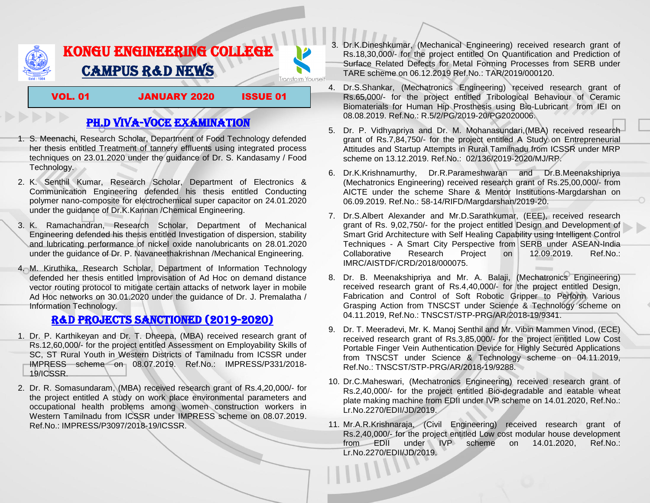

## PH.D VIVA-VOCE EXAMINATION

- 1. S. Meenachi, Research Scholar, Department of Food Technology defended her thesis entitled Treatment of tannery effluents using integrated process techniques on 23.01.2020 under the guidance of Dr. S. Kandasamy / Food Technology.
- 2. K. Senthil Kumar, Research Scholar, Department of Electronics & Communication Engineering defended his thesis entitled Conducting polymer nano-composite for electrochemical super capacitor on 24.01.2020 under the guidance of Dr.K.Kannan /Chemical Engineering.
- 3. K. Ramachandran, Research Scholar, Department of Mechanical Engineering defended his thesis entitled Investigation of dispersion, stability and lubricating performance of nickel oxide nanolubricants on 28.01.2020 under the guidance of Dr. P. Navaneethakrishnan /Mechanical Engineering.
- 4. M. Kiruthika, Research Scholar, Department of Information Technology defended her thesis entitled Improvisation of Ad Hoc on demand distance vector routing protocol to mitigate certain attacks of network layer in mobile Ad Hoc networks on 30.01.2020 under the guidance of Dr. J. Premalatha / Information Technology.

## R&D PROJECTS SANCTIONED (2019-2020)

- 1. Dr. P. Karthikeyan and Dr. T. Dheepa, (MBA) received research grant of Rs.12,60,000/- for the project entitled Assessment on Employability Skills of SC, ST Rural Youth in Western Districts of Tamilnadu from ICSSR under IMPRESS scheme on 08.07.2019. Ref.No.: IMPRESS/P331/2018- 19/ICSSR.
- 2. Dr. R. Somasundaram, (MBA) received research grant of Rs.4,20,000/- for the project entitled A study on work place environmental parameters and occupational health problems among women construction workers in Western Tamilnadu from ICSSR under IMPRESS scheme on 08.07.2019. Ref.No.: IMPRESS/P3097/2018-19/ICSSR.
- 3. Dr.K.Dineshkumar, (Mechanical Engineering) received research grant of Rs.18,30,000/- for the project entitled On Quantification and Prediction of Surface Related Defects for Metal Forming Processes from SERB under TARE scheme on 06.12.2019 Ref.No.: TAR/2019/000120.
- 4. Dr.S.Shankar, (Mechatronics Engineering) received research grant of Rs.65,000/- for the project entitled Tribological Behaviour of Ceramic Biomaterials for Human Hip Prosthesis using Bio-Lubricant from IEI on 08.08.2019. Ref.No.: R.5/2/PG/2019-20/PG2020006.
- 5. Dr. P. Vidhyapriya and Dr. M. Mohanasundari,(MBA) received research grant of Rs.7,84,750/- for the project entitled A Study on Entrepreneurial Attitudes and Startup Attempts in Rural Tamilnadu from ICSSR under MRP scheme on 13.12.2019. Ref.No.: 02/136/2019-2020/MJ/RP.
- 6. Dr.K.Krishnamurthy, Dr.R.Parameshwaran and Dr.B.Meenakshipriya (Mechatronics Engineering) received research grant of Rs.25,00,000/- from AICTE under the scheme Share & Mentor Institutions-Margdarshan on 06.09.2019. Ref.No.: 58-14/RIFD/Margdarshan/2019-20.
- 7. Dr.S.Albert Alexander and Mr.D.Sarathkumar, (EEE), received research grant of Rs. 9,02,750/- for the project entitled Design and Development of Smart Grid Architecture with Self Healing Capability using Intelligent Control Techniques - A Smart City Perspective from SERB under ASEAN-India Collaborative Research Project on 12.09.2019. Ref.No.: IMRC/AISTDF/CRD/2018/000075.
- 8. Dr. B. Meenakshipriya and Mr. A. Balaji, (Mechatronics Engineering) received research grant of Rs.4,40,000/- for the project entitled Design, Fabrication and Control of Soft Robotic Gripper to Perform Various Grasping Action from TNSCST under Science & Technology scheme on 04.11.2019, Ref.No.: TNSCST/STP-PRG/AR/2018-19/9341.
- 9. Dr. T. Meeradevi, Mr. K. Manoj Senthil and Mr. Vibin Mammen Vinod, (ECE) received research grant of Rs.3,85,000/- for the project entitled Low Cost Portable Finger Vein Authentication Device for Highly Secured Applications from TNSCST under Science & Technology scheme on 04.11.2019, Ref.No.: TNSCST/STP-PRG/AR/2018-19/9288.
- 10. Dr.C.Maheswari, (Mechatronics Engineering) received research grant of Rs.2,40,000/- for the project entitled Bio-degradable and eatable wheat plate making machine from EDII under IVP scheme on 14.01.2020, Ref.No.: Lr.No.2270/EDII/JD/2019.
- 11. Mr.A.R.Krishnaraja, (Civil Engineering) received research grant of Rs.2,40,000/- for the project entitled Low cost modular house development from EDII under IVP scheme on 14.01.2020, Ref.No.: Lr.No.2270/EDII/JD/2019.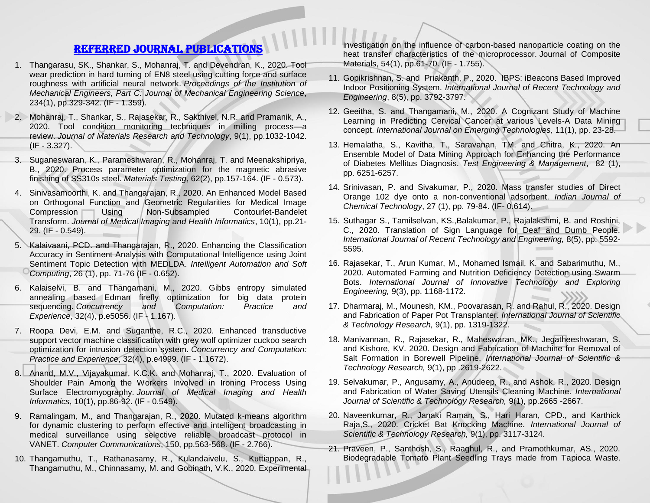## Referred JOURNAL publications

- 1. Thangarasu, SK., Shankar, S., Mohanraj, T. and Devendran, K., 2020. Tool wear prediction in hard turning of EN8 steel using cutting force and surface roughness with artificial neural network. *Proceedings of the Institution of Mechanical Engineers, Part C: Journal of Mechanical Engineering Science*, 234(1), pp.329-342. (IF - 1.359).
- 2. Mohanraj, T., Shankar, S., Rajasekar, R., Sakthivel, N.R. and Pramanik, A., 2020. Tool condition monitoring techniques in milling process—a review. *Journal of Materials Research and Technology*, 9(1), pp.1032-1042. (IF - 3.327).
- 3. Suganeswaran, K., Parameshwaran, R., Mohanraj, T. and Meenakshipriya, B., 2020. Process parameter optimization for the magnetic abrasive finishing of SS310s steel. *Materials Testing*, 62(2), pp.157-164. (IF - 0.573).
- 4. Sinivasamoorthi, K. and Thangarajan, R., 2020. An Enhanced Model Based on Orthogonal Function and Geometric Regularities for Medical Image Compression Using Non-Subsampled Contourlet-Bandelet Transform. *Journal of Medical Imaging and Health Informatics*, 10(1), pp.21- 29. (IF - 0.549).
- 5. Kalaivaani, PCD. and Thangarajan, R., 2020. Enhancing the Classification Accuracy in Sentiment Analysis with Computational Intelligence using Joint Sentiment Topic Detection with MEDLDA. *Intelligent Automation and Soft Computing*, 26 (1), pp. 71-76 (IF - 0.652).
- 6. Kalaiselvi, B. and Thangamani, M., 2020. Gibbs entropy simulated annealing based Edman firefly optimization for big data protein sequencing. *Concurrency and Computation: Practice and Experience*, 32(4), p.e5056. (IF - 1.167).
- 7. Roopa Devi, E.M. and Suganthe, R.C., 2020. Enhanced transductive support vector machine classification with grey wolf optimizer cuckoo search optimization for intrusion detection system. *Concurrency and Computation: Practice and Experience*, 32(4), p.e4999. (IF - 1.1672).
- 8. Anand, M.V., Vijayakumar, K.C.K. and Mohanraj, T., 2020. Evaluation of Shoulder Pain Among the Workers Involved in Ironing Process Using Surface Electromyography. *Journal of Medical Imaging and Health Informatics*, 10(1), pp.86-92. (IF - 0.549).
- 9. Ramalingam, M., and Thangarajan, R., 2020. Mutated k-means algorithm for dynamic clustering to perform effective and intelligent broadcasting in medical surveillance using selective reliable broadcast protocol in VANET. *Computer Communications*, 150, pp.563-568. (IF - 2.766).
- 10. Thangamuthu, T., Rathanasamy, R., Kulandaivelu, S., Kuttiappan, R., Thangamuthu, M., Chinnasamy, M. and Gobinath, V.K., 2020. Experimental

investigation on the influence of carbon-based nanoparticle coating on the heat transfer characteristics of the microprocessor. Journal of Composite Materials, 54(1), pp.61-70. (IF - 1.755).

- 11. Gopikrishnan, S. and Priakanth, P., 2020. IBPS: iBeacons Based Improved Indoor Positioning System. *International Journal of Recent Technology and Engineering*, 8(5), pp. 3792-3797.
- 12. Geeitha, S. and Thangamani, M., 2020. A Cognizant Study of Machine Learning in Predicting Cervical Cancer at various Levels-A Data Mining concept. *International Journal on Emerging Technologies,* 11(1), pp. 23-28.
- 13. Hemalatha, S., Kavitha, T., Saravanan, TM. and Chitra, K., 2020. An Ensemble Model of Data Mining Approach for Enhancing the Performance of Diabetes Mellitus Diagnosis. *Test Engineering & Management*, 82 (1), pp. 6251-6257.
- 14. Srinivasan, P. and Sivakumar, P., 2020. Mass transfer studies of Direct Orange 102 dye onto a non-conventional adsorbent. *Indian Journal of Chemical Technology*, 27 (1), pp. 79-84. (IF- 0.614).
- 15. Suthagar S., Tamilselvan, KS.,Balakumar, P., Rajalakshmi, B. and Roshini, C., 2020. Translation of Sign Language for Deaf and Dumb People. *International Journal of Recent Technology and Engineering,* 8(5), pp. 5592- 5595.
- 16. Rajasekar, T., Arun Kumar, M., Mohamed Ismail, K. and Sabarimuthu, M., 2020. Automated Farming and Nutrition Deficiency Detection using Swarm Bots. *International Journal of Innovative Technology and Exploring Engineering,* 9(3), pp. 1168-1172*.*
- 17. Dharmaraj, M., Mounesh, KM., Poovarasan, R. and Rahul, R., 2020. Design and Fabrication of Paper Pot Transplanter. *International Journal of Scientific & Technology Research,* 9(1), pp. 1319-1322.
- 18. Manivannan, R., Rajasekar, R., Maheswaran, MK., Jegatheeshwaran, S. and Kishore, KV. 2020. Design and Fabrication of Machine for Removal of Salt Formation in Borewell Pipeline. *International Journal of Scientific & Technology Research,* 9(1), pp .2619-2622.
- 19. Selvakumar, P., Angusamy, A., Anudeep, R., and Ashok, R., 2020. Design and Fabrication of Water Saving Utensils Cleaning Machine. *International Journal of Scientific & Technology Research,* 9(1), pp.2665 -2667.
- 20. Naveenkumar, R., Janaki Raman, S., Hari Haran, CPD., and Karthick Raja,S., 2020. Cricket Bat Knocking Machine. *International Journal of Scientific & Technology Research,* 9(1), pp. 3117-3124.
- 21. Praveen, P., Santhosh, S., Raaghul, R., and Pramothkumar, AS., 2020. Biodegradable Tomato Plant Seedling Trays made from Tapioca Waste.